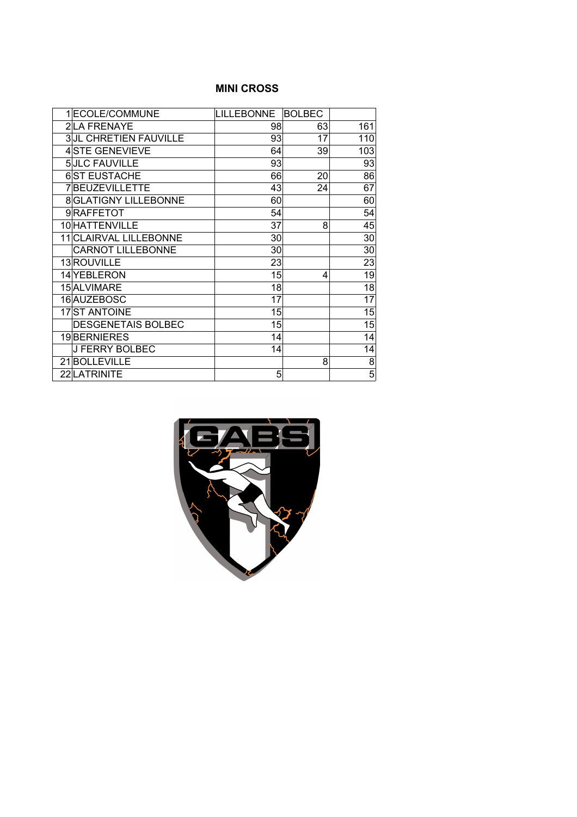#### **MINI CROSS**

| 1 ECOLE/COMMUNE              | <b>LILLEBONNE</b> | <b>BOLBEC</b> |                 |
|------------------------------|-------------------|---------------|-----------------|
| 2LA FRENAYE                  | 98                | 63            | 161             |
| <b>3JL CHRETIEN FAUVILLE</b> | 93                | 17            | 110             |
| 4STE GENEVIEVE               | 64                | 39            | 103             |
| 5JLC FAUVILLE                | 93                |               | 93              |
| <b>6ST EUSTACHE</b>          | 66                | 20            | 86              |
| 7BEUZEVILLETTE               | 43                | 24            | 67              |
| <b>8 GLATIGNY LILLEBONNE</b> | 60                |               | 60              |
| 9RAFFETOT                    | 54                |               | 54              |
| 10 HATTENVILLE               | 37                | 8             | 45              |
| 11 CLAIRVAL LILLEBONNE       | 30                |               | 30              |
| <b>CARNOT LILLEBONNE</b>     | 30                |               | 30              |
| 13 ROUVILLE                  | 23                |               | 23              |
| 14 YEBLERON                  | 15                | 4             | 19              |
| 15 ALVIMARE                  | 18                |               | $\overline{18}$ |
| 16 AUZEBOSC                  | 17                |               | 17              |
| 17 ST ANTOINE                | 15                |               | 15              |
| <b>DESGENETAIS BOLBEC</b>    | 15                |               | 15              |
| 19BERNIERES                  | 14                |               | 14              |
| <b>J FERRY BOLBEC</b>        | 14                |               | 14              |
| 21BOLLEVILLE                 |                   | 8             | 8               |
| 22 LATRINITE                 | 5                 |               | $\overline{5}$  |

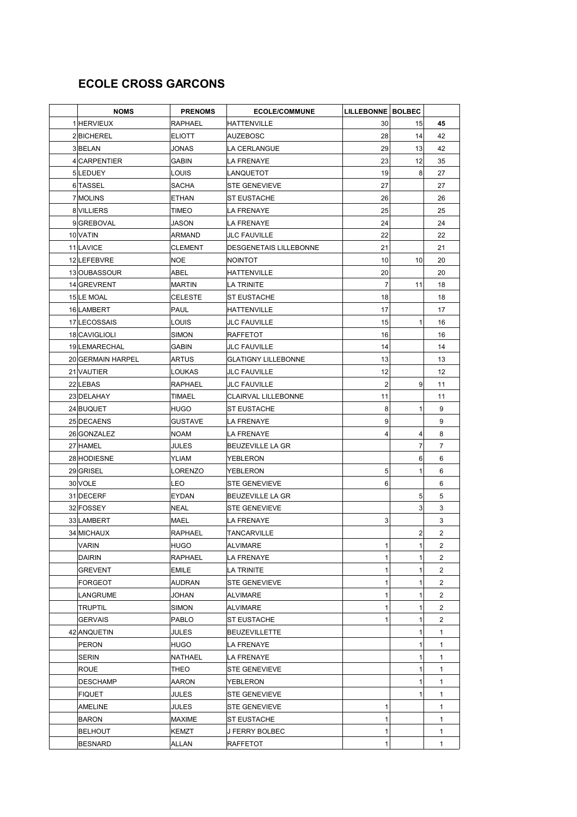# **ECOLE CROSS GARCONS**

| <b>NOMS</b>       | <b>PRENOMS</b> | <b>ECOLE/COMMUNE</b>       | LILLEBONNE   BOLBEC |                |                |
|-------------------|----------------|----------------------------|---------------------|----------------|----------------|
| 1 HERVIEUX        | <b>RAPHAEL</b> | <b>HATTENVILLE</b>         | 30                  | 15             | 45             |
| 2BICHEREL         | <b>ELIOTT</b>  | AUZEBOSC                   | 28                  | 14             | 42             |
| 3BELAN            | JONAS          | LA CERLANGUE               | 29                  | 13             | 42             |
| 4 CARPENTIER      | <b>GABIN</b>   | <b>LA FRENAYE</b>          | 23                  | 12             | 35             |
| 5LEDUEY           | LOUIS          | <b>LANQUETOT</b>           | 19                  | 8              | 27             |
| 6 TASSEL          | <b>SACHA</b>   | <b>ISTE GENEVIEVE</b>      | 27                  |                | 27             |
| 7 MOLINS          | <b>ETHAN</b>   | <b>ST EUSTACHE</b>         | 26                  |                | 26             |
| 8 VILLIERS        | TIMEO          | LA FRENAYE                 | 25                  |                | 25             |
| 9 GREBOVAL        | JASON          | LA FRENAYE                 | 24                  |                | 24             |
| 10 VATIN          | ARMAND         | <b>JLC FAUVILLE</b>        | 22                  |                | 22             |
| 11 LAVICE         | <b>CLEMENT</b> | DESGENETAIS LILLEBONNE     | 21                  |                | 21             |
| 12 LEFEBVRE       | <b>NOE</b>     | NOINTOT                    | 10                  | 10             | 20             |
| 13 OUBASSOUR      | ABEL           | HATTENVILLE                | 20                  |                | 20             |
| 14 GREVRENT       | <b>MARTIN</b>  | ILA TRINITE                | 7                   | 11             | 18             |
| 15 LE MOAL        | <b>CELESTE</b> | <b>ST EUSTACHE</b>         | 18                  |                | 18             |
| 16 LAMBERT        | <b>PAUL</b>    | HATTENVILLE                | 17                  |                | 17             |
| 17 LECOSSAIS      | LOUIS          | <b>JLC FAUVILLE</b>        | 15                  | 1              | 16             |
| 18 CAVIGLIOLI     | <b>SIMON</b>   | RAFFETOT                   | 16                  |                | 16             |
| 19 LEMARECHAL     | <b>GABIN</b>   | <b>JLC FAUVILLE</b>        | 14                  |                | 14             |
| 20 GERMAIN HARPEL | <b>ARTUS</b>   | <b>GLATIGNY LILLEBONNE</b> | 13                  |                | 13             |
| 21 VAUTIER        | LOUKAS         | <b>JLC FAUVILLE</b>        | 12                  |                | 12             |
| 22 LEBAS          | <b>RAPHAEL</b> | <b>JLC FAUVILLE</b>        | $\overline{2}$      | 9              | 11             |
| 23 DELAHAY        | TIMAEL         | <b>CLAIRVAL LILLEBONNE</b> | 11                  |                | 11             |
| 24 BUQUET         | <b>HUGO</b>    | <b>ST EUSTACHE</b>         | 8                   | 1              | 9              |
| 25 DECAENS        | <b>GUSTAVE</b> | LA FRENAYE                 | 9                   |                | 9              |
| 26 GONZALEZ       | <b>NOAM</b>    | LA FRENAYE                 | 4                   | 4              | 8              |
| 27 HAMEL          | JULES          | BEUZEVILLE LA GR           |                     | 7              | $\overline{7}$ |
| 28 HODIESNE       | YLIAM          | YEBLERON                   |                     | 6              | 6              |
| 29 GRISEL         | <b>LORENZO</b> | YEBLERON                   | 5                   | 1              | 6              |
| 30 VOLE           | LEO            | <b>STE GENEVIEVE</b>       | 6                   |                | 6              |
| 31 DECERF         | <b>EYDAN</b>   | <b>BEUZEVILLE LA GR</b>    |                     | 5              | 5              |
| 32 FOSSEY         | <b>NEAL</b>    | <b>STE GENEVIEVE</b>       |                     | 3              | 3              |
| 33 LAMBERT        | MAEL           | LA FRENAYE                 | 3                   |                | 3              |
| 34 MICHAUX        | <b>RAPHAEL</b> | <b>TANCARVILLE</b>         |                     | $\overline{2}$ | $\overline{2}$ |
| VARIN             | <b>HUGO</b>    | <b>ALVIMARE</b>            | 1                   | 1              | 2              |
| DAIRIN            | RAPHAEL        | LA FRENAYE                 | 1                   | 1              | $\overline{2}$ |
| <b>GREVENT</b>    | <b>EMILE</b>   | LA TRINITE                 | 1                   | 1              | $\overline{2}$ |
| <b>FORGEOT</b>    | AUDRAN         | <b>STE GENEVIEVE</b>       | 1                   | 1              | 2              |
| LANGRUME          | JOHAN          | ALVIMARE                   | 1                   | 1              | 2              |
| TRUPTIL           | SIMON          | ALVIMARE                   | 1                   | 1              | 2              |
| <b>GERVAIS</b>    | PABLO          | <b>ST EUSTACHE</b>         | 1                   | 1              | 2              |
| 42 ANQUETIN       | JULES          | <b>BEUZEVILLETTE</b>       |                     | 1              | 1              |
| PERON             | HUGO           | LA FRENAYE                 |                     | 1              | $\mathbf{1}$   |
| SERIN             | NATHAEL        | <b>LA FRENAYE</b>          |                     | 1              | 1              |
| <b>ROUE</b>       | THEO           | <b>STE GENEVIEVE</b>       |                     |                | 1              |
| DESCHAMP          | AARON          | YEBLERON                   |                     |                | 1              |
| <b>FIQUET</b>     | JULES          | <b>STE GENEVIEVE</b>       |                     | 1              | 1              |
| AMELINE           | JULES          | <b>STE GENEVIEVE</b>       | 1                   |                | $\mathbf{1}$   |
| <b>BARON</b>      | MAXIME         | <b>ST EUSTACHE</b>         | 1                   |                | 1              |
| <b>BELHOUT</b>    | KEMZT          | J FERRY BOLBEC             | 1                   |                | 1              |
| <b>BESNARD</b>    | ALLAN          | RAFFETOT                   | 1                   |                | 1              |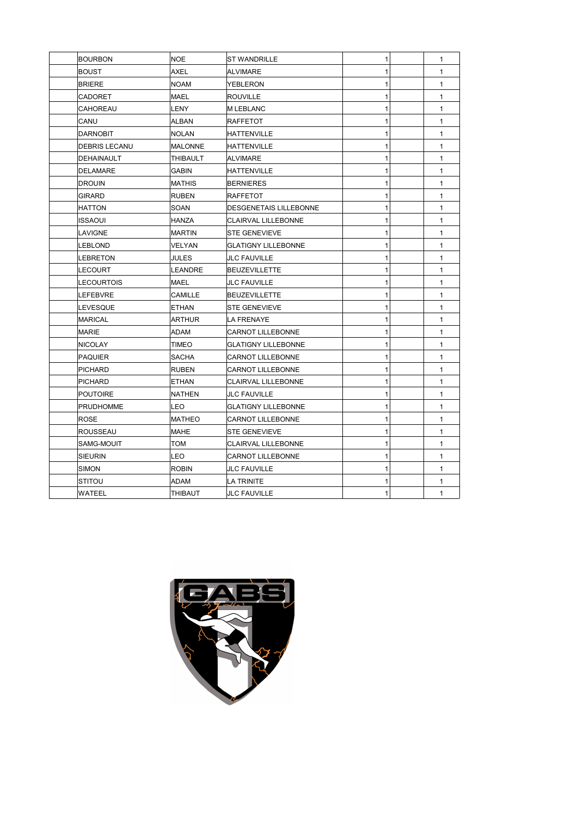| <b>BOURBON</b>    | <b>NOE</b>     | <b>ST WANDRILLE</b>        | 1            | 1            |
|-------------------|----------------|----------------------------|--------------|--------------|
| <b>BOUST</b>      | <b>AXEL</b>    | <b>ALVIMARE</b>            | 1            | $\mathbf{1}$ |
| <b>BRIERE</b>     | <b>NOAM</b>    | YEBLERON                   | 1            | $\mathbf{1}$ |
| CADORET           | <b>MAEL</b>    | <b>ROUVILLE</b>            | 1            | $\mathbf{1}$ |
| CAHOREAU          | <b>LENY</b>    | <b>M LEBLANC</b>           | 1            | $\mathbf{1}$ |
| CANU              | ALBAN          | RAFFETOT                   | 1            | $\mathbf{1}$ |
| <b>DARNOBIT</b>   | <b>NOLAN</b>   | HATTENVILLE                | 1            | 1            |
| DEBRIS LECANU     | MALONNE        | HATTENVILLE                | 1            | $\mathbf{1}$ |
| <b>DEHAINAULT</b> | THIBAULT       | ALVIMARE                   | 1            | $\mathbf{1}$ |
| <b>DELAMARE</b>   | GABIN          | HATTENVILLE                | 1            | $\mathbf{1}$ |
| <b>DROUIN</b>     | <b>MATHIS</b>  | <b>BERNIERES</b>           | 1            | $\mathbf{1}$ |
| GIRARD            | <b>RUBEN</b>   | <b>RAFFETOT</b>            | 1            | $\mathbf{1}$ |
| <b>HATTON</b>     | SOAN           | DESGENETAIS LILLEBONNE     | 1            | $\mathbf{1}$ |
| ISSAOUI           | HANZA          | CLAIRVAL LILLEBONNE        | 1            | 1            |
| LAVIGNE           | <b>MARTIN</b>  | <b>STE GENEVIEVE</b>       | 1            | 1            |
| <b>LEBLOND</b>    | <b>VELYAN</b>  | <b>GLATIGNY LILLEBONNE</b> | 1            | $\mathbf{1}$ |
| <b>LEBRETON</b>   | <b>JULES</b>   | <b>JLC FAUVILLE</b>        | 1            | $\mathbf{1}$ |
| LECOURT           | <b>LEANDRE</b> | <b>BEUZEVILLETTE</b>       | 1            | $\mathbf{1}$ |
| <b>LECOURTOIS</b> | <b>MAEL</b>    | <b>JLC FAUVILLE</b>        | 1            | $\mathbf{1}$ |
| LEFEBVRE          | CAMILLE        | <b>BEUZEVILLETTE</b>       | 1            | $\mathbf{1}$ |
| LEVESQUE          | <b>ETHAN</b>   | <b>STE GENEVIEVE</b>       | 1            | $\mathbf{1}$ |
| <b>MARICAL</b>    | <b>ARTHUR</b>  | LA FRENAYE                 | 1            | $\mathbf{1}$ |
| <b>MARIE</b>      | ADAM           | <b>CARNOT LILLEBONNE</b>   | 1            | 1            |
| <b>NICOLAY</b>    | TIMEO          | <b>GLATIGNY LILLEBONNE</b> | 1            | $\mathbf{1}$ |
| <b>PAQUIER</b>    | SACHA          | CARNOT LILLEBONNE          | 1            | 1            |
| <b>PICHARD</b>    | <b>RUBEN</b>   | CARNOT LILLEBONNE          | 1            | $\mathbf{1}$ |
| <b>PICHARD</b>    | <b>ETHAN</b>   | CLAIRVAL LILLEBONNE        | 1            | $\mathbf{1}$ |
| <b>POUTOIRE</b>   | <b>NATHEN</b>  | <b>JLC FAUVILLE</b>        | 1            | $\mathbf{1}$ |
| <b>PRUDHOMME</b>  | <b>LEO</b>     | <b>GLATIGNY LILLEBONNE</b> | 1            | 1            |
| <b>ROSE</b>       | <b>MATHEO</b>  | CARNOT LILLEBONNE          | 1            | 1            |
| <b>ROUSSEAU</b>   | <b>MAHE</b>    | <b>STE GENEVIEVE</b>       | 1            | $\mathbf{1}$ |
| SAMG-MOUIT        | <b>TOM</b>     | <b>CLAIRVAL LILLEBONNE</b> | 1            | $\mathbf{1}$ |
| SIEURIN           | <b>LEO</b>     | <b>CARNOT LILLEBONNE</b>   | 1            | $\mathbf{1}$ |
| SIMON             | <b>ROBIN</b>   | <b>JLC FAUVILLE</b>        | 1            | $\mathbf{1}$ |
| STITOU            | <b>ADAM</b>    | LA TRINITE                 |              | $\mathbf{1}$ |
| WATEEL            | THIBAUT        | <b>JLC FAUVILLE</b>        | $\mathbf{1}$ | $\mathbf{1}$ |
|                   |                |                            |              |              |

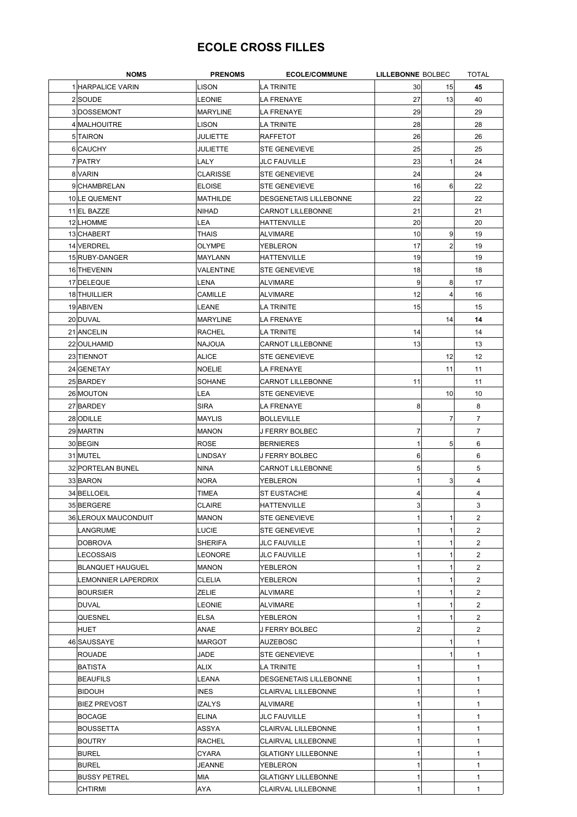## **ECOLE CROSS FILLES**

| <b>NOMS</b>             | <b>PRENOMS</b>  | <b>ECOLE/COMMUNE</b>          | <b>LILLEBONNE BOLBEC</b> |                | <b>TOTAL</b>   |
|-------------------------|-----------------|-------------------------------|--------------------------|----------------|----------------|
| 1 HARPALICE VARIN       | <b>LISON</b>    | <b>LA TRINITE</b>             | 30                       | 15             | 45             |
| 2 SOUDE                 | LEONIE          | <b>LA FRENAYE</b>             | 27                       | 13             | 40             |
| 3DOSSEMONT              | MARYLINE        | LA FRENAYE                    | 29                       |                | 29             |
| 4 MALHOUITRE            | <b>LISON</b>    | LA TRINITE                    | 28                       |                | 28             |
| 5 TAIRON                | JULIETTE        | <b>RAFFETOT</b>               | 26                       |                | 26             |
| 6 CAUCHY                | JULIETTE        | <b>STE GENEVIEVE</b>          | 25                       |                | 25             |
| 7 PATRY                 | LALY            | <b>JLC FAUVILLE</b>           | 23                       | 1              | 24             |
| 8 VARIN                 | <b>CLARISSE</b> | <b>STE GENEVIEVE</b>          | 24                       |                | 24             |
|                         |                 | <b>STE GENEVIEVE</b>          |                          |                |                |
| 9 CHAMBRELAN            | <b>ELOISE</b>   |                               | 16                       | 6              | 22             |
| 10 LE QUEMENT           | MATHILDE        | <b>DESGENETAIS LILLEBONNE</b> | 22                       |                | 22             |
| 11 EL BAZZE             | NIHAD           | <b>CARNOT LILLEBONNE</b>      | 21                       |                | 21             |
| 12 LHOMME               | LEA             | <b>HATTENVILLE</b>            | 20                       |                | 20             |
| 13 CHABERT              | THAIS           | <b>ALVIMARE</b>               | 10                       | 9              | 19             |
| 14 VERDREL              | <b>OLYMPE</b>   | YEBLERON                      | 17                       | $\overline{2}$ | 19             |
| 15 RUBY-DANGER          | MAYLANN         | HATTENVILLE                   | 19                       |                | 19             |
| 16 THEVENIN             | VALENTINE       | <b>STE GENEVIEVE</b>          | 18                       |                | 18             |
| 17 DELEQUE              | LENA            | <b>ALVIMARE</b>               | 9                        | 8              | 17             |
| 18 THUILLIER            | <b>CAMILLE</b>  | <b>ALVIMARE</b>               | 12                       | 4              | 16             |
| 19 ABIVEN               | LEANE           | LA TRINITE                    | 15                       |                | 15             |
| 20 DUVAL                | <b>MARYLINE</b> | <b>LA FRENAYE</b>             |                          | 14             | 14             |
| 21 ANCELIN              | <b>RACHEL</b>   | LA TRINITE                    | 14                       |                | 14             |
| 22 OULHAMID             | <b>NAJOUA</b>   | <b>CARNOT LILLEBONNE</b>      | 13                       |                | 13             |
| 23 TIENNOT              | ALICE           | <b>STE GENEVIEVE</b>          |                          | 12             | 12             |
| 24 GENETAY              | <b>NOELIE</b>   | LA FRENAYE                    |                          | 11             | 11             |
| 25 BARDEY               | <b>SOHANE</b>   | <b>CARNOT LILLEBONNE</b>      | 11                       |                | 11             |
| 26 MOUTON               | <b>LEA</b>      | <b>STE GENEVIEVE</b>          |                          | 10             | 10             |
| 27 BARDEY               | <b>SIRA</b>     | LA FRENAYE                    | 8                        |                | 8              |
| 28 ODILLE               | MAYLIS          | <b>BOLLEVILLE</b>             |                          | $\overline{7}$ | 7              |
| 29 MARTIN               | MANON           | J FERRY BOLBEC                | 7                        |                | $\overline{7}$ |
| 30 BEGIN                | <b>ROSE</b>     |                               | 1                        | 5              | 6              |
|                         |                 | <b>BERNIERES</b>              |                          |                |                |
| 31 MUTEL                | <b>LINDSAY</b>  | J FERRY BOLBEC                | 6                        |                | 6              |
| 32 PORTELAN BUNEL       | <b>NINA</b>     | <b>CARNOT LILLEBONNE</b>      | 5                        |                | 5              |
| 33 BARON                | <b>NORA</b>     | YEBLERON                      | 1                        | 3              | $\overline{4}$ |
| 34 BELLOEIL             | TIMEA           | <b>ST EUSTACHE</b>            | 4                        |                | 4              |
| 35 BERGERE              | <b>CLAIRE</b>   | <b>HATTENVILLE</b>            | 3                        |                | 3              |
| 36 LEROUX MAUCONDUIT    | MANON           | <b>STE GENEVIEVE</b>          | 1                        | 1              | 2              |
| LANGRUME                | <b>LUCIE</b>    | <b>STE GENEVIEVE</b>          |                          |                | $\overline{2}$ |
| DOBROVA                 | <b>SHERIFA</b>  | <b>JLC FAUVILLE</b>           |                          | 1              | $\overline{2}$ |
| LECOSSAIS               | <b>LEONORE</b>  | <b>JLC FAUVILLE</b>           |                          | 1              | $\overline{2}$ |
| <b>BLANQUET HAUGUEL</b> | <b>MANON</b>    | YEBLERON                      |                          | 1              | 2              |
| LEMONNIER LAPERDRIX     | <b>CLELIA</b>   | YEBLERON                      |                          | 1              | $\overline{2}$ |
| <b>BOURSIER</b>         | ZELIE           | ALVIMARE                      |                          | 1              | $\overline{2}$ |
| DUVAL                   | LEONIE          | <b>ALVIMARE</b>               |                          | 1              | $\overline{2}$ |
| QUESNEL                 | <b>ELSA</b>     | YEBLERON                      |                          | 1              | $\overline{2}$ |
| HUET                    | ANAE            | J FERRY BOLBEC                | 2                        |                | $\overline{2}$ |
| 46 SAUSSAYE             | <b>MARGOT</b>   | AUZEBOSC                      |                          | 1              | $\mathbf{1}$   |
| <b>ROUADE</b>           | JADE            | <b>STE GENEVIEVE</b>          |                          | 1              | 1              |
| BATISTA                 | ALIX            | LA TRINITE                    | 1                        |                | $\mathbf{1}$   |
| BEAUFILS                | LEANA           | DESGENETAIS LILLEBONNE        | 1                        |                | $\mathbf{1}$   |
| <b>BIDOUH</b>           | <b>INES</b>     | <b>CLAIRVAL LILLEBONNE</b>    | 1                        |                | $\mathbf{1}$   |
| <b>BIEZ PREVOST</b>     | <b>IZALYS</b>   | ALVIMARE                      |                          |                | $\mathbf{1}$   |
|                         |                 |                               |                          |                |                |
| BOCAGE                  | <b>ELINA</b>    | <b>JLC FAUVILLE</b>           |                          |                | $\mathbf{1}$   |
| BOUSSETTA               | ASSYA           | CLAIRVAL LILLEBONNE           |                          |                | 1              |
| BOUTRY                  | <b>RACHEL</b>   | <b>CLAIRVAL LILLEBONNE</b>    |                          |                | $\mathbf{1}$   |
| <b>BUREL</b>            | CYARA           | <b>GLATIGNY LILLEBONNE</b>    |                          |                | 1              |
| BUREL                   | JEANNE          | YEBLERON                      |                          |                | 1              |
| <b>BUSSY PETREL</b>     | MIA             | <b>GLATIGNY LILLEBONNE</b>    |                          |                | $\mathbf{1}$   |
| <b>CHTIRMI</b>          | AYA             | CLAIRVAL LILLEBONNE           |                          |                | 1              |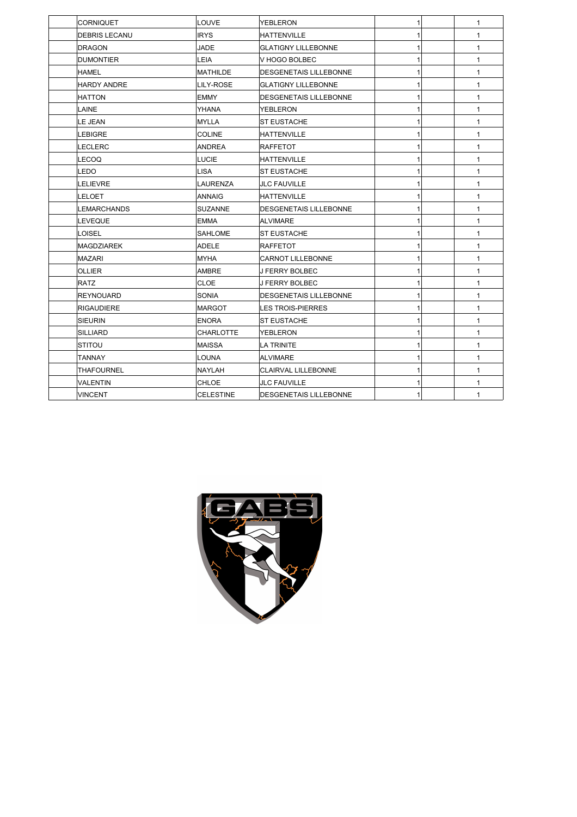| CORNIQUET          | <b>LOUVE</b>     | <b>YEBLERON</b>               |  | $\mathbf{1}$ |
|--------------------|------------------|-------------------------------|--|--------------|
| DEBRIS LECANU      | <b>IRYS</b>      | HATTENVILLE                   |  | $\mathbf{1}$ |
| <b>DRAGON</b>      | JADE             | <b>GLATIGNY LILLEBONNE</b>    |  | $\mathbf{1}$ |
| <b>DUMONTIER</b>   | LEIA             | V HOGO BOLBEC                 |  | $\mathbf{1}$ |
| HAMEL              | <b>MATHILDE</b>  | <b>DESGENETAIS LILLEBONNE</b> |  | $\mathbf{1}$ |
| <b>HARDY ANDRE</b> | LILY-ROSE        | <b>GLATIGNY LILLEBONNE</b>    |  | $\mathbf{1}$ |
| <b>HATTON</b>      | EMMY             | <b>DESGENETAIS LILLEBONNE</b> |  | $\mathbf{1}$ |
| LAINE              | YHANA            | YEBLERON                      |  | $\mathbf{1}$ |
| LE JEAN            | MYLLA            | <b>ST EUSTACHE</b>            |  | $\mathbf{1}$ |
| LEBIGRE            | <b>COLINE</b>    | HATTENVILLE                   |  | $\mathbf{1}$ |
| LECLERC            | ANDREA           | <b>RAFFETOT</b>               |  | $\mathbf{1}$ |
| LECOQ              | <b>LUCIE</b>     | HATTENVILLE                   |  | $\mathbf{1}$ |
| LEDO               | <b>LISA</b>      | ST EUSTACHE                   |  | $\mathbf{1}$ |
| <b>LELIEVRE</b>    | <b>LAURENZA</b>  | <b>JLC FAUVILLE</b>           |  | $\mathbf{1}$ |
| LELOET             | <b>ANNAIG</b>    | <b>HATTENVILLE</b>            |  | $\mathbf{1}$ |
| LEMARCHANDS        | <b>SUZANNE</b>   | DESGENETAIS LILLEBONNE        |  | $\mathbf{1}$ |
| LEVEQUE            | <b>EMMA</b>      | <b>ALVIMARE</b>               |  | $\mathbf{1}$ |
| LOISEL             | <b>SAHLOME</b>   | <b>ST EUSTACHE</b>            |  | $\mathbf{1}$ |
| <b>MAGDZIAREK</b>  | <b>ADELE</b>     | <b>RAFFETOT</b>               |  | $\mathbf{1}$ |
| <b>MAZARI</b>      | <b>MYHA</b>      | <b>CARNOT LILLEBONNE</b>      |  | $\mathbf{1}$ |
| OLLIER             | <b>AMBRE</b>     | J FERRY BOLBEC                |  | $\mathbf{1}$ |
| <b>RATZ</b>        | <b>CLOE</b>      | <b>J FERRY BOLBEC</b>         |  | $\mathbf{1}$ |
| <b>REYNOUARD</b>   | SONIA            | <b>DESGENETAIS LILLEBONNE</b> |  | $\mathbf{1}$ |
| RIGAUDIERE         | <b>IMARGOT</b>   | <b>LES TROIS-PIERRES</b>      |  | $\mathbf{1}$ |
| <b>SIEURIN</b>     | <b>ENORA</b>     | <b>ST EUSTACHE</b>            |  | $\mathbf{1}$ |
| <b>SILLIARD</b>    | <b>CHARLOTTE</b> | YEBLERON                      |  | $\mathbf{1}$ |
| STITOU             | IMAISSA          | LA TRINITE                    |  | $\mathbf{1}$ |
| <b>TANNAY</b>      | LOUNA            | <b>ALVIMARE</b>               |  | $\mathbf{1}$ |
| <b>THAFOURNEL</b>  | NAYLAH           | <b>CLAIRVAL LILLEBONNE</b>    |  | $\mathbf{1}$ |
| VALENTIN           | CHLOE            | <b>JLC FAUVILLE</b>           |  | $\mathbf{1}$ |
| <b>VINCENT</b>     | <b>CELESTINE</b> | <b>DESGENETAIS LILLEBONNE</b> |  | $\mathbf{1}$ |

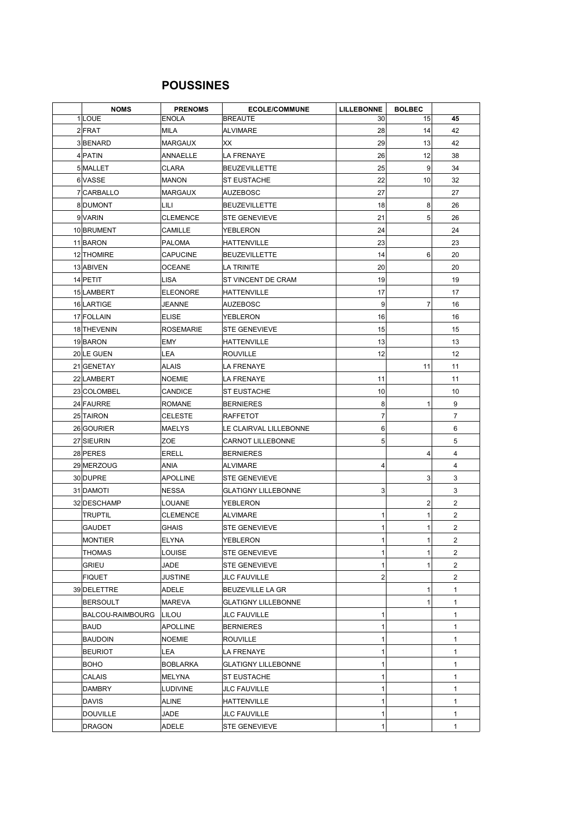## **POUSSINES**

| <b>NOMS</b>      | <b>PRENOMS</b>   | <b>ECOLE/COMMUNE</b>       | <b>LILLEBONNE</b> | <b>BOLBEC</b>  |                |
|------------------|------------------|----------------------------|-------------------|----------------|----------------|
| 1 LOUE           | <b>ENOLA</b>     | <b>BREAUTE</b>             | 30                | 15             | 45             |
| $2$ $FRAT$       | <b>MILA</b>      | <b>ALVIMARE</b>            | 28                | 14             | 42             |
| 3BENARD          | <b>MARGAUX</b>   | XX                         | 29                | 13             | 42             |
| 4 PATIN          | ANNAELLE         | <b>LA FRENAYE</b>          | 26                | 12             | 38             |
| 5 MALLET         | <b>CLARA</b>     | <b>BEUZEVILLETTE</b>       | 25                | 9              | 34             |
| 6 VASSE          | <b>MANON</b>     | <b>ST EUSTACHE</b>         | 22                | 10             | 32             |
| 7 CARBALLO       | <b>MARGAUX</b>   | <b>AUZEBOSC</b>            | 27                |                | 27             |
| 8 DUMONT         | LILI             | <b>BEUZEVILLETTE</b>       | 18                | 8              | 26             |
| 9 VARIN          | <b>CLEMENCE</b>  | <b>STE GENEVIEVE</b>       | 21                | 5 <sup>2</sup> | 26             |
| 10 BRUMENT       | CAMILLE          | YEBLERON                   | 24                |                | 24             |
| 11 BARON         | PALOMA           | HATTENVILLE                | 23                |                | 23             |
| 12 THOMIRE       | <b>CAPUCINE</b>  | <b>BEUZEVILLETTE</b>       | 14                | 6              | 20             |
| 13 ABIVEN        | <b>OCEANE</b>    | LA TRINITE                 | 20                |                | 20             |
| 14 PETIT         | <b>LISA</b>      | ST VINCENT DE CRAM         | 19                |                | 19             |
| 15 LAMBERT       | <b>ELEONORE</b>  | <b>HATTENVILLE</b>         | 17                |                | 17             |
| 16 LARTIGE       | JEANNE           | <b>AUZEBOSC</b>            | 9                 | 7              | 16             |
| 17 FOLLAIN       | <b>ELISE</b>     | YEBLERON                   | 16                |                | 16             |
| 18 THEVENIN      | <b>ROSEMARIE</b> | <b>STE GENEVIEVE</b>       | 15                |                | 15             |
| 19BARON          | EMY              | <b>HATTENVILLE</b>         | 13                |                | 13             |
| 20 LE GUEN       | LEA              | <b>ROUVILLE</b>            | 12                |                | 12             |
| 21 GENETAY       | ALAIS            | <b>LA FRENAYE</b>          |                   | 11             | 11             |
| 22 LAMBERT       | NOEMIE           | <b>LA FRENAYE</b>          | 11                |                | 11             |
| 23 COLOMBEL      | CANDICE          | <b>ST EUSTACHE</b>         | 10                |                | 10             |
| 24 FAURRE        | <b>ROMANE</b>    | <b>BERNIERES</b>           | 8                 | 1              | 9              |
| 25 TAIRON        | <b>CELESTE</b>   | RAFFETOT                   | $\overline{7}$    |                | 7              |
| 26 GOURIER       | <b>MAELYS</b>    | LE CLAIRVAL LILLEBONNE     | 6                 |                | 6              |
| 27 SIEURIN       | ZOE              | <b>CARNOT LILLEBONNE</b>   | 5                 |                | 5              |
| 28 PERES         | <b>ERELL</b>     | <b>BERNIERES</b>           |                   | $\overline{4}$ | 4              |
| 29 MERZOUG       | ANIA             | <b>ALVIMARE</b>            | 4                 |                | 4              |
| 30 DUPRE         | <b>APOLLINE</b>  | <b>STE GENEVIEVE</b>       |                   | 3              | 3              |
| 31 DAMOTI        | NESSA            | <b>GLATIGNY LILLEBONNE</b> | 3                 |                | 3              |
| 32 DESCHAMP      | LOUANE           | YEBLERON                   |                   | $\overline{2}$ | 2              |
| <b>TRUPTIL</b>   | <b>CLEMENCE</b>  | ALVIMARE                   | 1                 | 1              | 2              |
| GAUDET           | <b>GHAIS</b>     | <b>STE GENEVIEVE</b>       | 1                 | 1              | 2              |
| MONTIER          | ELYNA            | YEBLERON                   | 1                 | 1              | 2              |
| THOMAS           | LOUISE           | <b>STE GENEVIEVE</b>       | 1                 | $\mathbf{1}$   | $\overline{2}$ |
| GRIEU            | <b>JADE</b>      | <b>STE GENEVIEVE</b>       | 1                 | 1              | $\overline{2}$ |
| FIQUET           | <b>JUSTINE</b>   | <b>JLC FAUVILLE</b>        | $\overline{2}$    |                | $\overline{2}$ |
| 39 DELETTRE      | ADELE            | <b>BEUZEVILLE LA GR</b>    |                   | 1              | 1              |
| BERSOULT         | MAREVA           | <b>GLATIGNY LILLEBONNE</b> |                   | 1              | 1              |
| BALCOU-RAIMBOURG | <b>LILOU</b>     | JLC FAUVILLE               | 1                 |                | 1              |
| BAUD             | <b>APOLLINE</b>  | <b>BERNIERES</b>           | 1                 |                | 1              |
| BAUDOIN          | <b>NOEMIE</b>    | <b>ROUVILLE</b>            | 1                 |                | 1              |
| <b>BEURIOT</b>   | LEA              | LA FRENAYE                 | 1                 |                | 1              |
| BOHO             | <b>BOBLARKA</b>  | <b>GLATIGNY LILLEBONNE</b> | 1                 |                | 1              |
| <b>CALAIS</b>    | MELYNA           | <b>ST EUSTACHE</b>         | 1                 |                | 1              |
| DAMBRY           | LUDIVINE         | JLC FAUVILLE               | 1                 |                | 1              |
| <b>DAVIS</b>     | ALINE            | HATTENVILLE                | 1                 |                | 1              |
| <b>DOUVILLE</b>  | JADE             | JLC FAUVILLE               | 1                 |                | 1              |
| <b>DRAGON</b>    | ADELE            | STE GENEVIEVE              | 1                 |                | $\mathbf{1}$   |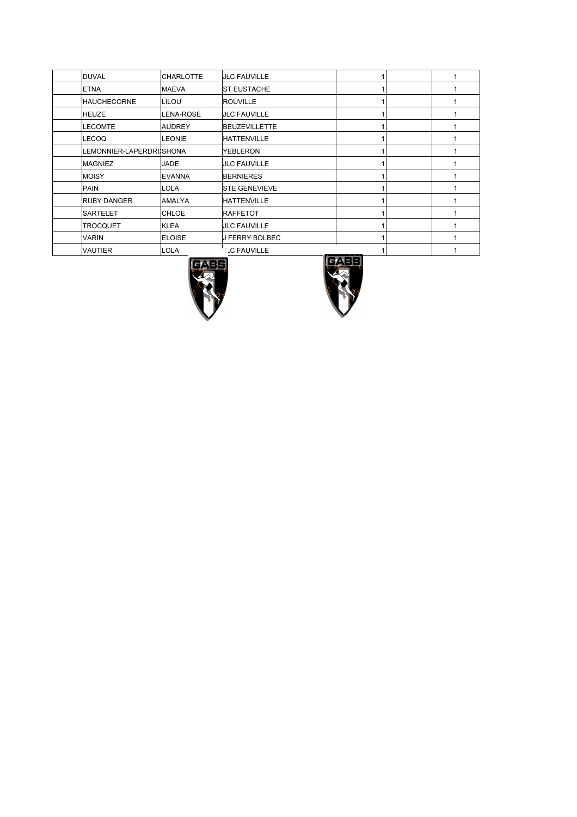| DUVAL                    | <b>CHARLOTTE</b> | <b>JLC FAUVILLE</b>   |  |  |
|--------------------------|------------------|-----------------------|--|--|
| <b>ETNA</b>              | <b>MAEVA</b>     | <b>ST EUSTACHE</b>    |  |  |
| <b>HAUCHECORNE</b>       | LILOU            | <b>ROUVILLE</b>       |  |  |
| HEUZE                    | <b>LENA-ROSE</b> | <b>JLC FAUVILLE</b>   |  |  |
| <b>LECOMTE</b>           | <b>AUDREY</b>    | <b>BEUZEVILLETTE</b>  |  |  |
| LECOQ                    | <b>LEONIE</b>    | <b>HATTENVILLE</b>    |  |  |
| LEMONNIER-LAPERDRIJSHONA |                  | <b>YEBLERON</b>       |  |  |
| <b>MAGNIEZ</b>           | <b>JADE</b>      | <b>JLC FAUVILLE</b>   |  |  |
| <b>MOISY</b>             | <b>EVANNA</b>    | <b>BERNIERES</b>      |  |  |
| PAIN                     | LOLA             | <b>STE GENEVIEVE</b>  |  |  |
| <b>RUBY DANGER</b>       | <b>AMALYA</b>    | <b>HATTENVILLE</b>    |  |  |
| <b>SARTELET</b>          | <b>CHLOE</b>     | <b>RAFFETOT</b>       |  |  |
| <b>TROCQUET</b>          | KLEA             | <b>JLC FAUVILLE</b>   |  |  |
| <b>VARIN</b>             | <b>ELOISE</b>    | <b>J FERRY BOLBEC</b> |  |  |
| <b>VAUTIER</b>           | LOLA             | <b>C FAUVILLE</b>     |  |  |



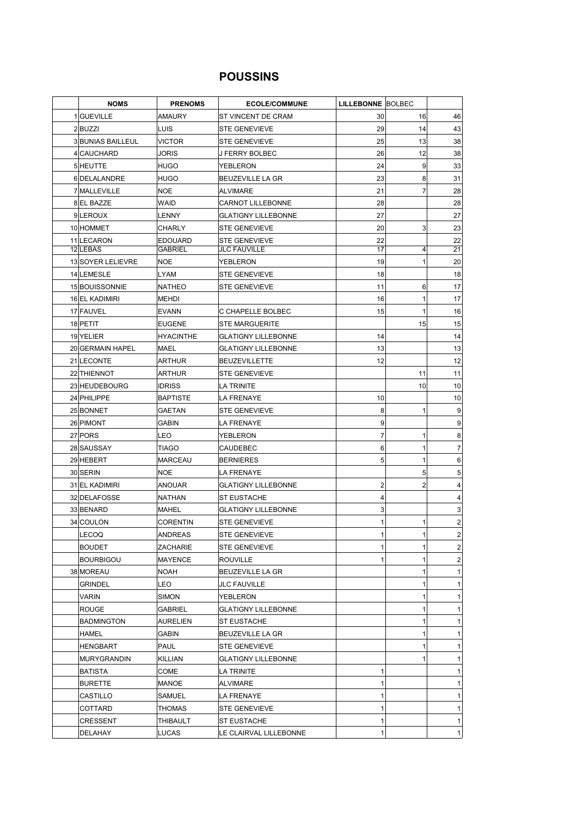### **POUSSINS**

| <b>NOMS</b>              | <b>PRENOMS</b>   | <b>ECOLE/COMMUNE</b>       | <b>LILLEBONNE BOLBEC</b> |              |                 |
|--------------------------|------------------|----------------------------|--------------------------|--------------|-----------------|
| 1 GUEVILLE               | AMAURY           | ST VINCENT DE CRAM         | 30                       | 16           | 46              |
| 2BUZZI                   | LUIS             | <b>STE GENEVIEVE</b>       | 29                       | 14           | 43              |
| <b>3 BUNIAS BAILLEUL</b> | <b>VICTOR</b>    | <b>STE GENEVIEVE</b>       | 25                       | 13           | 38              |
| 4 CAUCHARD               | JORIS            | J FERRY BOLBEC             | 26                       | 12           | 38              |
| 5 HEUTTE                 | HUGO             | YEBLERON                   | 24                       | 9            | 33              |
| 6DELALANDRE              | <b>HUGO</b>      | <b>BEUZEVILLE LA GR</b>    | 23                       | 8            | 31              |
| 7 MALLEVILLE             | <b>NOE</b>       | ALVIMARE                   | 21                       | 7            | 28              |
| 8 EL BAZZE               | WAID             | <b>CARNOT LILLEBONNE</b>   | 28                       |              | 28              |
| 9LEROUX                  | LENNY            | <b>GLATIGNY LILLEBONNE</b> | 27                       |              | 27              |
| 10 HOMMET                | <b>CHARLY</b>    | <b>STE GENEVIEVE</b>       | 20                       | 3            | 23              |
| 11 LECARON               | <b>EDOUARD</b>   | <b>STE GENEVIEVE</b>       | 22                       |              | 22              |
| 12 LEBAS                 | <b>GABRIEL</b>   | <b>JLC FAUVILLE</b>        | 17                       | 4            | 21              |
| 13 SOYER LELIEVRE        | <b>NOE</b>       | YEBLERON                   | 19                       | 1            | 20              |
| 14 LEMESLE               | <b>LYAM</b>      | <b>STE GENEVIEVE</b>       | 18                       |              | 18              |
| 15 BOUISSONNIE           | <b>NATHEO</b>    | <b>STE GENEVIEVE</b>       | 11                       | 6            | 17              |
| 16 EL KADIMIRI           | MEHDI            |                            | 16                       | 1            | 17              |
| 17 FAUVEL                | <b>EVANN</b>     | C CHAPELLE BOLBEC          | 15                       | 1            | 16              |
| 18 PETIT                 | <b>EUGENE</b>    | <b>STE MARGUERITE</b>      |                          | 15           | 15              |
| 19 YELIER                | <b>HYACINTHE</b> | <b>GLATIGNY LILLEBONNE</b> | 14                       |              | 14              |
| 20 GERMAIN HAPEL         | <b>MAEL</b>      | <b>GLATIGNY LILLEBONNE</b> | 13                       |              | 13              |
| 21 LECONTE               | <b>ARTHUR</b>    | <b>BEUZEVILLETTE</b>       | 12                       |              | 12              |
| 22 THIENNOT              | <b>ARTHUR</b>    | <b>STE GENEVIEVE</b>       |                          | 11           | 11              |
| 23 HEUDEBOURG            | <b>IDRISS</b>    | LA TRINITE                 |                          | 10           | 10              |
| 24 PHILIPPE              | <b>BAPTISTE</b>  | LA FRENAYE                 | 10                       |              | 10              |
| 25 BONNET                | <b>GAETAN</b>    | <b>STE GENEVIEVE</b>       | 8                        | 1            | $\overline{9}$  |
| 26 PIMONT                | GABIN            | LA FRENAYE                 | 9                        |              | $\overline{9}$  |
| 27 PORS                  | LEO              | YEBLERON                   | $\overline{7}$           | 1            | 8               |
| 28 SAUSSAY               | <b>TIAGO</b>     | CAUDEBEC                   | 6                        | 1            | $\overline{7}$  |
| 29 HEBERT                | <b>MARCEAU</b>   | <b>BERNIERES</b>           | 5                        | $\mathbf{1}$ | 6 <sup>1</sup>  |
| 30 SERIN                 | <b>NOE</b>       | LA FRENAYE                 |                          | 5            | 5 <sub>5</sub>  |
| 31 EL KADIMIRI           | ANOUAR           | <b>GLATIGNY LILLEBONNE</b> | 2                        | 2            | $\vert 4 \vert$ |
| 32 DELAFOSSE             | NATHAN           | <b>ST EUSTACHE</b>         | 4                        |              | $\vert 4 \vert$ |
| 33 BENARD                | MAHEL            | <b>GLATIGNY LILLEBONNE</b> | 3                        |              | $\overline{3}$  |
| 34 COULON                | <b>CORENTIN</b>  | <b>STE GENEVIEVE</b>       | 1                        | 1            | $\overline{2}$  |
| LECOQ                    | <b>ANDREAS</b>   | STE GENEVIEVE              | 1                        | 1            | $\mathbf{2}$    |
| <b>BOUDET</b>            | ZACHARIE         | STE GENEVIEVE              | $\mathbf{1}$             | 1            | $\overline{2}$  |
| BOURBIGOU                | <b>MAYENCE</b>   | <b>ROUVILLE</b>            | 1                        | 1            | $\overline{2}$  |
| 38 MOREAU                | <b>NOAH</b>      | BEUZEVILLE LA GR           |                          | 1            | 1               |
| <b>GRINDEL</b>           | LEO              | <b>JLC FAUVILLE</b>        |                          | 1            | 1               |
| <b>VARIN</b>             | <b>SIMON</b>     | YEBLERON                   |                          | 1            | 1               |
| <b>ROUGE</b>             | <b>GABRIEL</b>   | <b>GLATIGNY LILLEBONNE</b> |                          |              | 1               |
| <b>BADMINGTON</b>        | <b>AURELIEN</b>  | ST EUSTACHE                |                          |              | 1               |
| <b>HAMEL</b>             | GABIN            | BEUZEVILLE LA GR           |                          | 1            | 1               |
| <b>HENGBART</b>          | PAUL             | <b>STE GENEVIEVE</b>       |                          | 1            | 1               |
| <b>MURYGRANDIN</b>       | KILLIAN          | <b>GLATIGNY LILLEBONNE</b> |                          | 1            | 1               |
| BATISTA                  | COME             | LA TRINITE                 | 1                        |              | 1               |
| <b>BURETTE</b>           | MANOE            | ALVIMARE                   | 1                        |              | 1               |
| CASTILLO                 | SAMUEL           | LA FRENAYE                 | $\mathbf{1}$             |              | 1               |
| COTTARD                  | THOMAS           | <b>STE GENEVIEVE</b>       | 1                        |              | 1               |
| CRESSENT                 | THIBAULT         | <b>ST EUSTACHE</b>         | 1                        |              | 1               |
| DELAHAY                  | <b>LUCAS</b>     | LE CLAIRVAL LILLEBONNE     | $\mathbf 1$              |              | 1               |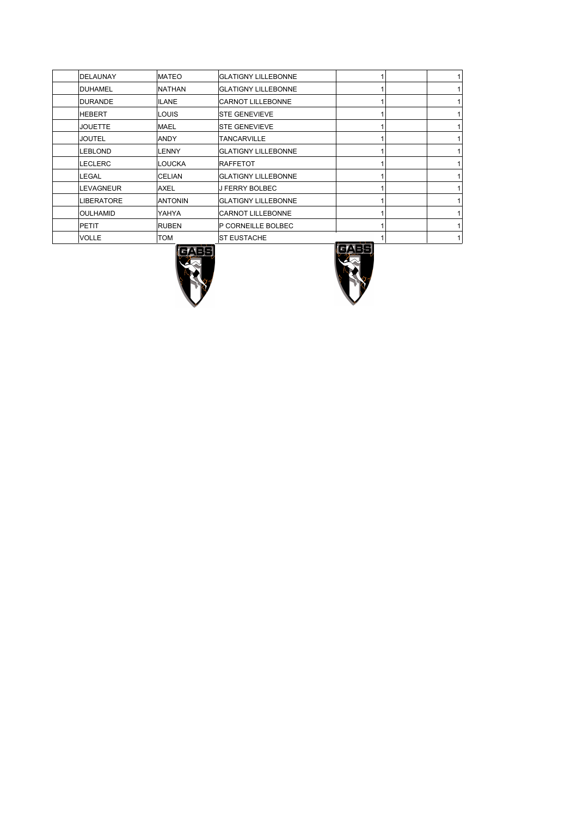| DELAUNAY         | <b>MATEO</b>   | <b>GLATIGNY LILLEBONNE</b> |  |   |
|------------------|----------------|----------------------------|--|---|
| <b>DUHAMEL</b>   | <b>NATHAN</b>  | <b>GLATIGNY LILLEBONNE</b> |  |   |
| DURANDE          | <b>ILANE</b>   | <b>CARNOT LILLEBONNE</b>   |  | 1 |
| <b>HEBERT</b>    | LOUIS          | <b>STE GENEVIEVE</b>       |  |   |
| <b>JOUETTE</b>   | MAEL           | <b>STE GENEVIEVE</b>       |  |   |
| <b>JOUTEL</b>    | ANDY           | <b>TANCARVILLE</b>         |  | 1 |
| <b>LEBLOND</b>   | <b>LENNY</b>   | <b>GLATIGNY LILLEBONNE</b> |  |   |
| <b>ILECLERC</b>  | <b>LOUCKA</b>  | RAFFETOT                   |  |   |
| LEGAL            | <b>CELIAN</b>  | <b>GLATIGNY LILLEBONNE</b> |  | 1 |
| <b>LEVAGNEUR</b> | AXEL           | <b>J FERRY BOLBEC</b>      |  |   |
| LIBERATORE       | <b>ANTONIN</b> | <b>GLATIGNY LILLEBONNE</b> |  |   |
| <b>OULHAMID</b>  | YAHYA          | <b>CARNOT LILLEBONNE</b>   |  | 1 |
| PETIT            | <b>RUBEN</b>   | P CORNEILLE BOLBEC         |  |   |
| VOLLE            | TOM            | <b>ST EUSTACHE</b>         |  |   |
|                  |                |                            |  |   |



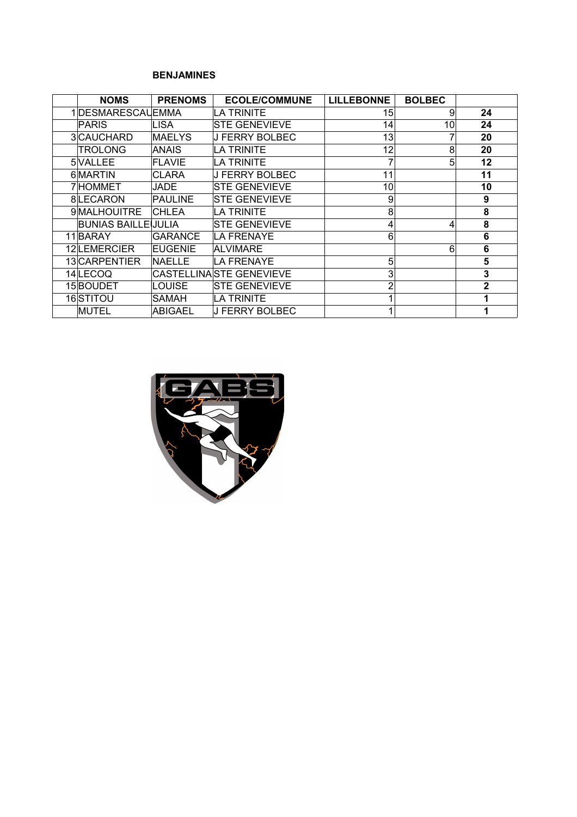#### **BENJAMINES**

| <b>NOMS</b>        | <b>PRENOMS</b> | <b>ECOLE/COMMUNE</b>     | <b>LILLEBONNE</b> | <b>BOLBEC</b> |              |
|--------------------|----------------|--------------------------|-------------------|---------------|--------------|
| 1DESMARESCAUEMMA   |                | LA TRINITE               | 15                | 9             | 24           |
| <b>PARIS</b>       | LISA           | <b>STE GENEVIEVE</b>     | 14                | 10            | 24           |
| 3CAUCHARD          | <b>MAELYS</b>  | J FERRY BOLBEC           | 13                |               | 20           |
| <b>TROLONG</b>     | ANAIS          | LA TRINITE               | 12                | 8             | 20           |
| 5VALLEE            | FLAVIE         | LA TRINITE               |                   | 5             | 12           |
| 6 MARTIN           | <b>CLARA</b>   | J FERRY BOLBEC           | 11                |               | 11           |
| 7 HOMMET           | JADE           | <b>STE GENEVIEVE</b>     | 10                |               | 10           |
| 8LECARON           | PAULINE        | <b>STE GENEVIEVE</b>     | 9                 |               | 9            |
| 9 MALHOUITRE       | <b>CHLEA</b>   | LA TRINITE               | 8                 |               | 8            |
| BUNIAS BAILLEUULIA |                | <b>STE GENEVIEVE</b>     | 4                 | 4             | 8            |
| 11 BARAY           | GARANCE        | LA FRENAYE               | 6                 |               | 6            |
| 12LEMERCIER        | <b>EUGENIE</b> | ALVIMARE                 |                   | 6             | 6            |
| 13 CARPENTIER      | <b>NAELLE</b>  | <b>LA FRENAYE</b>        | 5                 |               | 5            |
| 14 LECOQ           |                | CASTELLINA STE GENEVIEVE | 3                 |               | 3            |
| 15 BOUDET          | <b>LOUISE</b>  | <b>STE GENEVIEVE</b>     | 2                 |               | $\mathbf{2}$ |
| 16 STITOU          | SAMAH          | LA TRINITE               |                   |               |              |
| <b>MUTEL</b>       | ABIGAEL        | <b>J FERRY BOLBEC</b>    |                   |               |              |

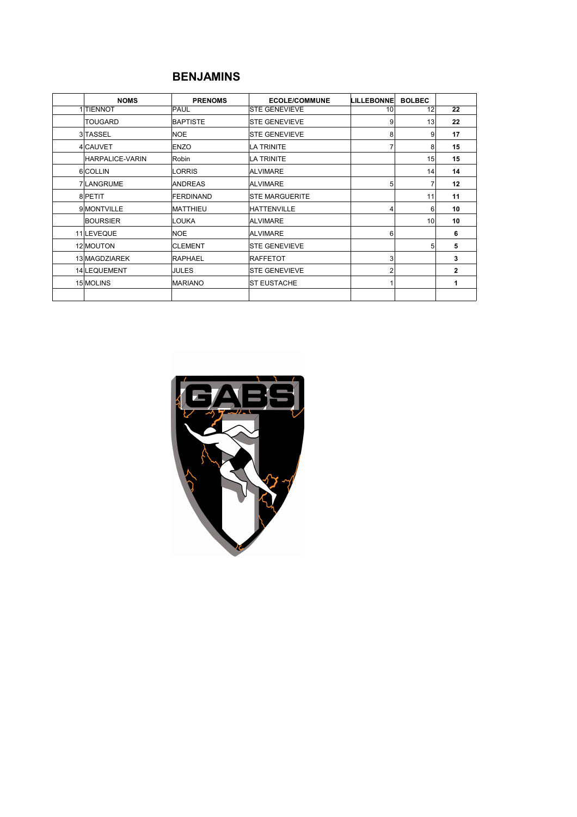#### **BENJAMINS**

| <b>NOMS</b>     | <b>PRENOMS</b>   | <b>ECOLE/COMMUNE</b>                                           |                | <b>BOLBEC</b> |              |
|-----------------|------------------|----------------------------------------------------------------|----------------|---------------|--------------|
| 1 TIENNOT       | PAUL             | <b>LILLEBONNE</b><br><b>STE GENEVIEVE</b><br>10<br>9<br>8<br>5 |                | 12            | 22           |
| <b>TOUGARD</b>  | <b>BAPTISTE</b>  | <b>STE GENEVIEVE</b>                                           |                | 13            | 22           |
| 3 TASSEL        | <b>NOE</b>       | <b>STE GENEVIEVE</b>                                           |                | 9             | 17           |
| 4 CAUVET        | ENZO             | LA TRINITE                                                     |                | 8             | 15           |
| HARPALICE-VARIN | Robin            | LA TRINITE                                                     |                | 15            | 15           |
| 6 COLLIN        | LORRIS           | ALVIMARE                                                       |                | 14            | 14           |
| 7LANGRUME       | <b>ANDREAS</b>   | <b>ALVIMARE</b>                                                |                | 7             | 12           |
| 8 PETIT         | <b>FERDINAND</b> | <b>STE MARGUERITE</b>                                          |                | 11            | 11           |
| 9 MONTVILLE     | <b>MATTHIEU</b>  | HATTENVILLE                                                    |                | 6             | 10           |
| <b>BOURSIER</b> | LOUKA            | <b>ALVIMARE</b>                                                |                | 10            | 10           |
| 11 LEVEQUE      | <b>NOE</b>       | <b>ALVIMARE</b>                                                | 6              |               | 6            |
| 12 MOUTON       | <b>CLEMENT</b>   | <b>STE GENEVIEVE</b>                                           |                | 5             | 5            |
| 13 MAGDZIAREK   | <b>RAPHAEL</b>   | RAFFETOT                                                       | 3              |               | 3            |
| 14 LEQUEMENT    | JULES            | <b>STE GENEVIEVE</b>                                           | $\overline{2}$ |               | $\mathbf{2}$ |
| 15 MOLINS       | <b>MARIANO</b>   | <b>ST EUSTACHE</b>                                             |                |               | 1            |
|                 |                  |                                                                |                |               |              |